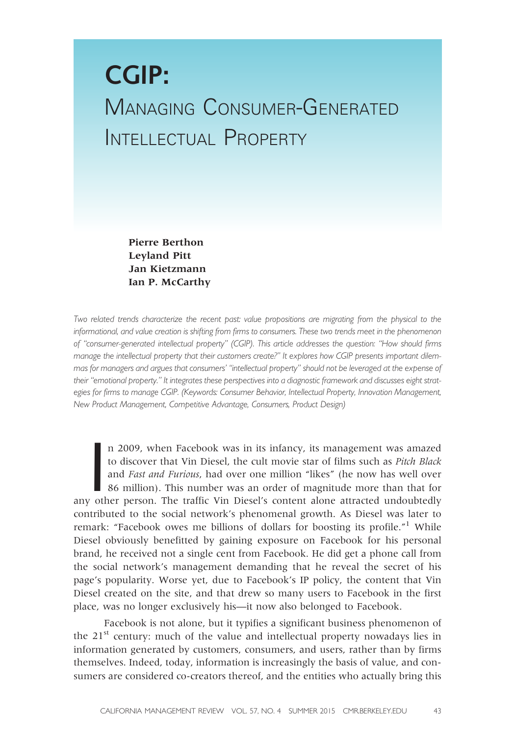# CGIP: MANAGING CONSUMER-GENERATED INTELLECTUAL PROPERTY

Pierre Berthon Leyland Pitt Jan Kietzmann Ian P. McCarthy

Two related trends characterize the recent past: value propositions are migrating from the physical to the informational, and value creation is shifting from firms to consumers. These two trends meet in the phenomenon of "consumer-generated intellectual property" (CGIP). This article addresses the question: "How should firms manage the intellectual property that their customers create?" It explores how CGIP presents important dilemmas for managers and argues that consumers' "intellectual property" should not be leveraged at the expense of their "emotional property." It integrates these perspectives into a diagnostic framework and discusses eight strategies for firms to manage CGIP. (Keywords: Consumer Behavior, Intellectual Property, Innovation Management, New Product Management, Competitive Advantage, Consumers, Product Design)

n 2009, when Facebook was in its infancy, its management was amazed<br>to discover that Vin Diesel, the cult movie star of films such as *Pitch Black*<br>and *Fast and Furious*, had over one million "likes" (he now has well over n 2009, when Facebook was in its infancy, its management was amazed to discover that Vin Diesel, the cult movie star of films such as Pitch Black and Fast and Furious, had over one million "likes" (he now has well over 86 million). This number was an order of magnitude more than that for contributed to the social network's phenomenal growth. As Diesel was later to remark: "Facebook owes me billions of dollars for boosting its profile."<sup>1</sup> While Diesel obviously benefitted by gaining exposure on Facebook for his personal brand, he received not a single cent from Facebook. He did get a phone call from the social network's management demanding that he reveal the secret of his page's popularity. Worse yet, due to Facebook's IP policy, the content that Vin Diesel created on the site, and that drew so many users to Facebook in the first place, was no longer exclusively his—it now also belonged to Facebook.

Facebook is not alone, but it typifies a significant business phenomenon of the 21<sup>st</sup> century: much of the value and intellectual property nowadays lies in information generated by customers, consumers, and users, rather than by firms themselves. Indeed, today, information is increasingly the basis of value, and consumers are considered co-creators thereof, and the entities who actually bring this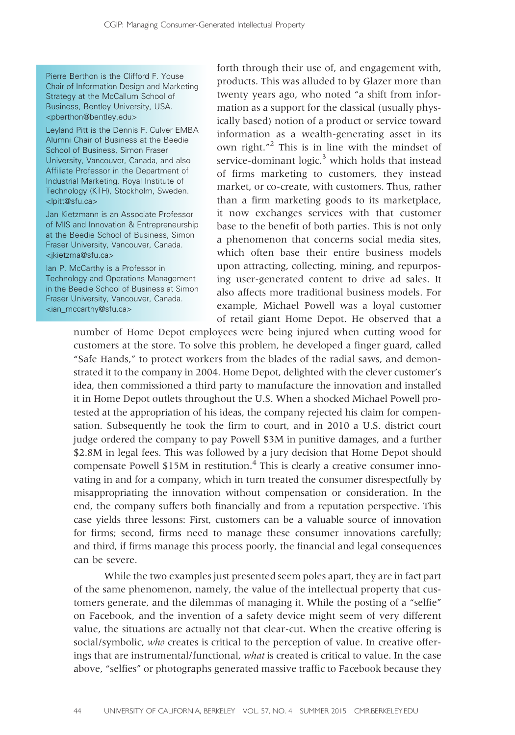Pierre Berthon is the Clifford F. Youse Chair of Information Design and Marketing Strategy at the McCallum School of Business, Bentley University, USA. <pberthon@bentley.edu>

Leyland Pitt is the Dennis F. Culver EMBA Alumni Chair of Business at the Beedie School of Business, Simon Fraser University, Vancouver, Canada, and also Affiliate Professor in the Department of Industrial Marketing, Royal Institute of Technology (KTH), Stockholm, Sweden. <lpitt@sfu.ca>

Jan Kietzmann is an Associate Professor of MIS and Innovation & Entrepreneurship at the Beedie School of Business, Simon Fraser University, Vancouver, Canada. <jkietzma@sfu.ca>

Ian P. McCarthy is a Professor in Technology and Operations Management in the Beedie School of Business at Simon Fraser University, Vancouver, Canada. <ian\_mccarthy@sfu.ca>

forth through their use of, and engagement with, products. This was alluded to by Glazer more than twenty years ago, who noted "a shift from information as a support for the classical (usually physically based) notion of a product or service toward information as a wealth-generating asset in its own right." <sup>2</sup> This is in line with the mindset of service-dominant logic,<sup>3</sup> which holds that instead of firms marketing to customers, they instead market, or co-create, with customers. Thus, rather than a firm marketing goods to its marketplace, it now exchanges services with that customer base to the benefit of both parties. This is not only a phenomenon that concerns social media sites, which often base their entire business models upon attracting, collecting, mining, and repurposing user-generated content to drive ad sales. It also affects more traditional business models. For example, Michael Powell was a loyal customer of retail giant Home Depot. He observed that a

number of Home Depot employees were being injured when cutting wood for customers at the store. To solve this problem, he developed a finger guard, called "Safe Hands," to protect workers from the blades of the radial saws, and demonstrated it to the company in 2004. Home Depot, delighted with the clever customer's idea, then commissioned a third party to manufacture the innovation and installed it in Home Depot outlets throughout the U.S. When a shocked Michael Powell protested at the appropriation of his ideas, the company rejected his claim for compensation. Subsequently he took the firm to court, and in 2010 a U.S. district court judge ordered the company to pay Powell \$3M in punitive damages, and a further \$2.8M in legal fees. This was followed by a jury decision that Home Depot should compensate Powell  $$15M$  in restitution.<sup>4</sup> This is clearly a creative consumer innovating in and for a company, which in turn treated the consumer disrespectfully by misappropriating the innovation without compensation or consideration. In the end, the company suffers both financially and from a reputation perspective. This case yields three lessons: First, customers can be a valuable source of innovation for firms; second, firms need to manage these consumer innovations carefully; and third, if firms manage this process poorly, the financial and legal consequences can be severe.

While the two examples just presented seem poles apart, they are in fact part of the same phenomenon, namely, the value of the intellectual property that customers generate, and the dilemmas of managing it. While the posting of a "selfie" on Facebook, and the invention of a safety device might seem of very different value, the situations are actually not that clear-cut. When the creative offering is social/symbolic, who creates is critical to the perception of value. In creative offerings that are instrumental/functional, what is created is critical to value. In the case above, "selfies" or photographs generated massive traffic to Facebook because they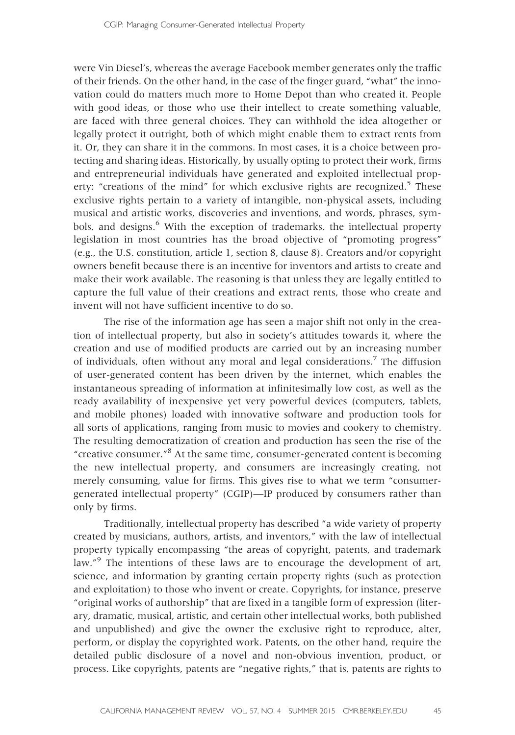were Vin Diesel's, whereas the average Facebook member generates only the traffic of their friends. On the other hand, in the case of the finger guard, "what" the innovation could do matters much more to Home Depot than who created it. People with good ideas, or those who use their intellect to create something valuable, are faced with three general choices. They can withhold the idea altogether or legally protect it outright, both of which might enable them to extract rents from it. Or, they can share it in the commons. In most cases, it is a choice between protecting and sharing ideas. Historically, by usually opting to protect their work, firms and entrepreneurial individuals have generated and exploited intellectual property: "creations of the mind" for which exclusive rights are recognized.<sup>5</sup> These exclusive rights pertain to a variety of intangible, non-physical assets, including musical and artistic works, discoveries and inventions, and words, phrases, symbols, and designs.<sup>6</sup> With the exception of trademarks, the intellectual property legislation in most countries has the broad objective of "promoting progress" (e.g., the U.S. constitution, article 1, section 8, clause 8). Creators and/or copyright owners benefit because there is an incentive for inventors and artists to create and make their work available. The reasoning is that unless they are legally entitled to capture the full value of their creations and extract rents, those who create and invent will not have sufficient incentive to do so.

The rise of the information age has seen a major shift not only in the creation of intellectual property, but also in society's attitudes towards it, where the creation and use of modified products are carried out by an increasing number of individuals, often without any moral and legal considerations.<sup>7</sup> The diffusion of user-generated content has been driven by the internet, which enables the instantaneous spreading of information at infinitesimally low cost, as well as the ready availability of inexpensive yet very powerful devices (computers, tablets, and mobile phones) loaded with innovative software and production tools for all sorts of applications, ranging from music to movies and cookery to chemistry. The resulting democratization of creation and production has seen the rise of the "creative consumer." <sup>8</sup> At the same time, consumer-generated content is becoming the new intellectual property, and consumers are increasingly creating, not merely consuming, value for firms. This gives rise to what we term "consumergenerated intellectual property" (CGIP)—IP produced by consumers rather than only by firms.

Traditionally, intellectual property has described "a wide variety of property created by musicians, authors, artists, and inventors," with the law of intellectual property typically encompassing "the areas of copyright, patents, and trademark law."<sup>9</sup> The intentions of these laws are to encourage the development of art, science, and information by granting certain property rights (such as protection and exploitation) to those who invent or create. Copyrights, for instance, preserve "original works of authorship" that are fixed in a tangible form of expression (literary, dramatic, musical, artistic, and certain other intellectual works, both published and unpublished) and give the owner the exclusive right to reproduce, alter, perform, or display the copyrighted work. Patents, on the other hand, require the detailed public disclosure of a novel and non-obvious invention, product, or process. Like copyrights, patents are "negative rights," that is, patents are rights to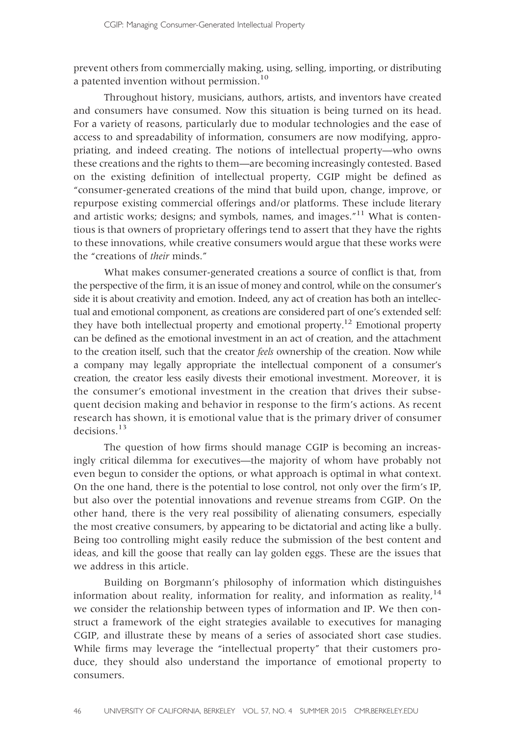prevent others from commercially making, using, selling, importing, or distributing a patented invention without permission.<sup>10</sup>

Throughout history, musicians, authors, artists, and inventors have created and consumers have consumed. Now this situation is being turned on its head. For a variety of reasons, particularly due to modular technologies and the ease of access to and spreadability of information, consumers are now modifying, appropriating, and indeed creating. The notions of intellectual property—who owns these creations and the rights to them—are becoming increasingly contested. Based on the existing definition of intellectual property, CGIP might be defined as "consumer-generated creations of the mind that build upon, change, improve, or repurpose existing commercial offerings and/or platforms. These include literary and artistic works; designs; and symbols, names, and images. $1^{11}$  What is contentious is that owners of proprietary offerings tend to assert that they have the rights to these innovations, while creative consumers would argue that these works were the "creations of their minds."

What makes consumer-generated creations a source of conflict is that, from the perspective of the firm, it is an issue of money and control, while on the consumer's side it is about creativity and emotion. Indeed, any act of creation has both an intellectual and emotional component, as creations are considered part of one's extended self: they have both intellectual property and emotional property.<sup>12</sup> Emotional property can be defined as the emotional investment in an act of creation, and the attachment to the creation itself, such that the creator *feels* ownership of the creation. Now while a company may legally appropriate the intellectual component of a consumer's creation, the creator less easily divests their emotional investment. Moreover, it is the consumer's emotional investment in the creation that drives their subsequent decision making and behavior in response to the firm's actions. As recent research has shown, it is emotional value that is the primary driver of consumer decisions.<sup>13</sup>

The question of how firms should manage CGIP is becoming an increasingly critical dilemma for executives—the majority of whom have probably not even begun to consider the options, or what approach is optimal in what context. On the one hand, there is the potential to lose control, not only over the firm's IP, but also over the potential innovations and revenue streams from CGIP. On the other hand, there is the very real possibility of alienating consumers, especially the most creative consumers, by appearing to be dictatorial and acting like a bully. Being too controlling might easily reduce the submission of the best content and ideas, and kill the goose that really can lay golden eggs. These are the issues that we address in this article.

Building on Borgmann's philosophy of information which distinguishes information about reality, information for reality, and information as reality,  $14$ we consider the relationship between types of information and IP. We then construct a framework of the eight strategies available to executives for managing CGIP, and illustrate these by means of a series of associated short case studies. While firms may leverage the "intellectual property" that their customers produce, they should also understand the importance of emotional property to consumers.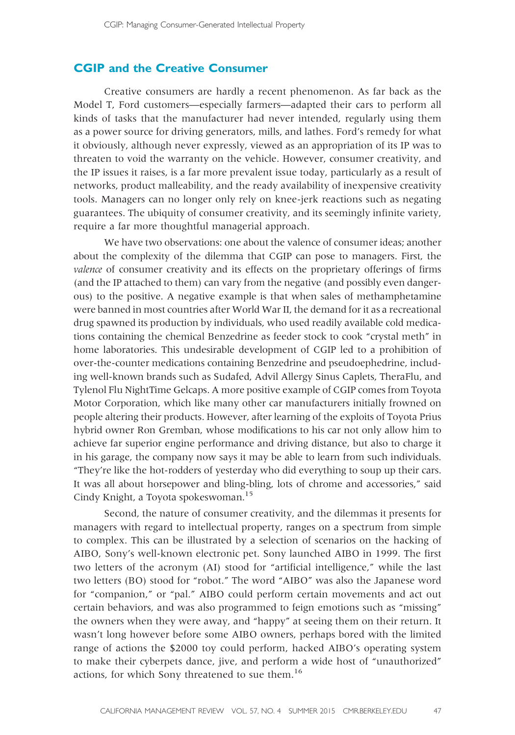## CGIP and the Creative Consumer

Creative consumers are hardly a recent phenomenon. As far back as the Model T, Ford customers—especially farmers—adapted their cars to perform all kinds of tasks that the manufacturer had never intended, regularly using them as a power source for driving generators, mills, and lathes. Ford's remedy for what it obviously, although never expressly, viewed as an appropriation of its IP was to threaten to void the warranty on the vehicle. However, consumer creativity, and the IP issues it raises, is a far more prevalent issue today, particularly as a result of networks, product malleability, and the ready availability of inexpensive creativity tools. Managers can no longer only rely on knee-jerk reactions such as negating guarantees. The ubiquity of consumer creativity, and its seemingly infinite variety, require a far more thoughtful managerial approach.

We have two observations: one about the valence of consumer ideas; another about the complexity of the dilemma that CGIP can pose to managers. First, the valence of consumer creativity and its effects on the proprietary offerings of firms (and the IP attached to them) can vary from the negative (and possibly even dangerous) to the positive. A negative example is that when sales of methamphetamine were banned in most countries after World War II, the demand for it as a recreational drug spawned its production by individuals, who used readily available cold medications containing the chemical Benzedrine as feeder stock to cook "crystal meth" in home laboratories. This undesirable development of CGIP led to a prohibition of over-the-counter medications containing Benzedrine and pseudoephedrine, including well-known brands such as Sudafed, Advil Allergy Sinus Caplets, TheraFlu, and Tylenol Flu NightTime Gelcaps. A more positive example of CGIP comes from Toyota Motor Corporation, which like many other car manufacturers initially frowned on people altering their products. However, after learning of the exploits of Toyota Prius hybrid owner Ron Gremban, whose modifications to his car not only allow him to achieve far superior engine performance and driving distance, but also to charge it in his garage, the company now says it may be able to learn from such individuals. "They're like the hot-rodders of yesterday who did everything to soup up their cars. It was all about horsepower and bling-bling, lots of chrome and accessories," said Cindy Knight, a Toyota spokeswoman.15

Second, the nature of consumer creativity, and the dilemmas it presents for managers with regard to intellectual property, ranges on a spectrum from simple to complex. This can be illustrated by a selection of scenarios on the hacking of AIBO, Sony's well-known electronic pet. Sony launched AIBO in 1999. The first two letters of the acronym (AI) stood for "artificial intelligence," while the last two letters (BO) stood for "robot." The word "AIBO" was also the Japanese word for "companion," or "pal." AIBO could perform certain movements and act out certain behaviors, and was also programmed to feign emotions such as "missing" the owners when they were away, and "happy" at seeing them on their return. It wasn't long however before some AIBO owners, perhaps bored with the limited range of actions the \$2000 toy could perform, hacked AIBO's operating system to make their cyberpets dance, jive, and perform a wide host of "unauthorized" actions, for which Sony threatened to sue them.<sup>16</sup>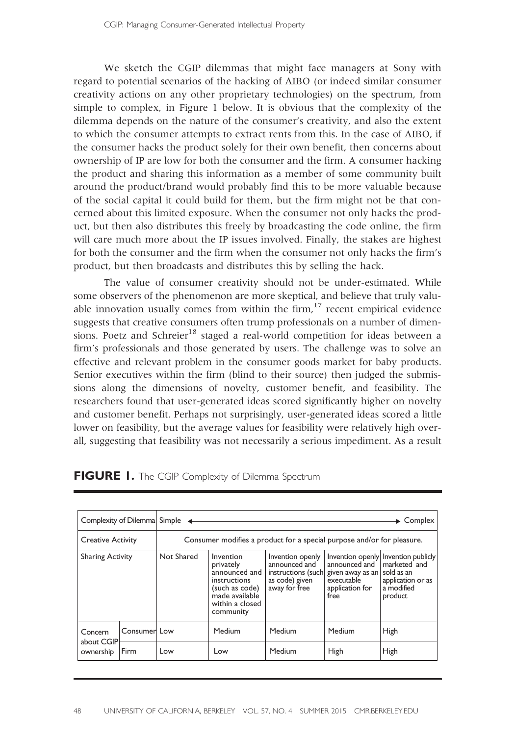We sketch the CGIP dilemmas that might face managers at Sony with regard to potential scenarios of the hacking of AIBO (or indeed similar consumer creativity actions on any other proprietary technologies) on the spectrum, from simple to complex, in Figure 1 below. It is obvious that the complexity of the dilemma depends on the nature of the consumer's creativity, and also the extent to which the consumer attempts to extract rents from this. In the case of AIBO, if the consumer hacks the product solely for their own benefit, then concerns about ownership of IP are low for both the consumer and the firm. A consumer hacking the product and sharing this information as a member of some community built around the product/brand would probably find this to be more valuable because of the social capital it could build for them, but the firm might not be that concerned about this limited exposure. When the consumer not only hacks the product, but then also distributes this freely by broadcasting the code online, the firm will care much more about the IP issues involved. Finally, the stakes are highest for both the consumer and the firm when the consumer not only hacks the firm's product, but then broadcasts and distributes this by selling the hack.

The value of consumer creativity should not be under-estimated. While some observers of the phenomenon are more skeptical, and believe that truly valuable innovation usually comes from within the firm, $17$  recent empirical evidence suggests that creative consumers often trump professionals on a number of dimensions. Poetz and Schreier<sup>18</sup> staged a real-world competition for ideas between a firm's professionals and those generated by users. The challenge was to solve an effective and relevant problem in the consumer goods market for baby products. Senior executives within the firm (blind to their source) then judged the submissions along the dimensions of novelty, customer benefit, and feasibility. The researchers found that user-generated ideas scored significantly higher on novelty and customer benefit. Perhaps not surprisingly, user-generated ideas scored a little lower on feasibility, but the average values for feasibility were relatively high overall, suggesting that feasibility was not necessarily a serious impediment. As a result

| Complexity of Dilemma Simple <     |               | $\blacktriangleright$ Complex                                          |                                                                                                                                    |                                                                                            |                                                                            |                                                                                                                   |
|------------------------------------|---------------|------------------------------------------------------------------------|------------------------------------------------------------------------------------------------------------------------------------|--------------------------------------------------------------------------------------------|----------------------------------------------------------------------------|-------------------------------------------------------------------------------------------------------------------|
| <b>Creative Activity</b>           |               | Consumer modifies a product for a special purpose and/or for pleasure. |                                                                                                                                    |                                                                                            |                                                                            |                                                                                                                   |
| <b>Sharing Activity</b>            |               | Not Shared                                                             | Invention<br>privately<br>announced and<br><i>instructions</i><br>(such as code)<br>made available<br>within a closed<br>community | Invention openly<br>announced and<br>instructions (such<br>as code) given<br>away for free | announced and<br>given away as an<br>executable<br>application for<br>free | Invention openly   Invention publicly<br>marketed and<br>sold as an<br>application or as<br>a modified<br>product |
| Concern<br>about CGIP<br>ownership | Consumerl Low |                                                                        | Medium                                                                                                                             | Medium                                                                                     | Medium                                                                     | High                                                                                                              |
|                                    | Firm          | Low                                                                    | Low                                                                                                                                | Medium                                                                                     | High                                                                       | High                                                                                                              |

## FIGURE 1. The CGIP Complexity of Dilemma Spectrum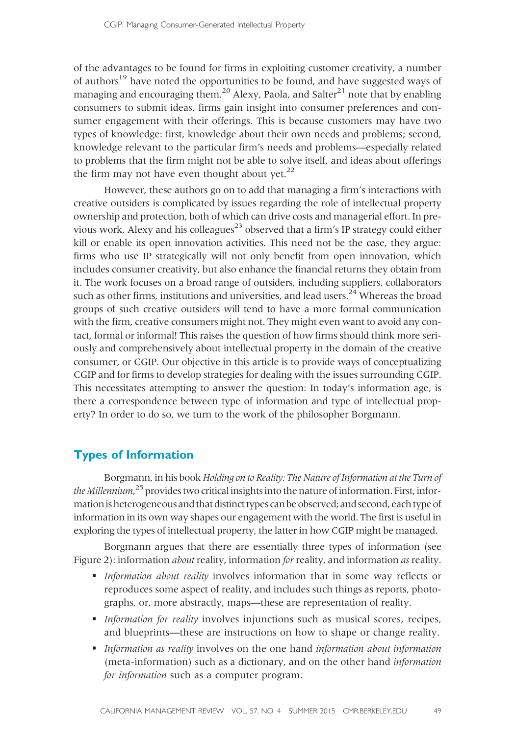of the advantages to be found for firms in exploiting customer creativity, a number of authors<sup>19</sup> have noted the opportunities to be found, and have suggested ways of managing and encouraging them.<sup>20</sup> Alexy, Paola, and Salter<sup>21</sup> note that by enabling consumers to submit ideas, firms gain insight into consumer preferences and consumer engagement with their offerings. This is because customers may have two types of knowledge: first, knowledge about their own needs and problems; second, knowledge relevant to the particular firm's needs and problems—especially related to problems that the firm might not be able to solve itself, and ideas about offerings the firm may not have even thought about yet. $^{22}$ 

However, these authors go on to add that managing a firm's interactions with creative outsiders is complicated by issues regarding the role of intellectual property ownership and protection, both of which can drive costs and managerial effort. In previous work, Alexy and his colleagues<sup>23</sup> observed that a firm's IP strategy could either kill or enable its open innovation activities. This need not be the case, they argue: firms who use IP strategically will not only benefit from open innovation, which includes consumer creativity, but also enhance the financial returns they obtain from it. The work focuses on a broad range of outsiders, including suppliers, collaborators such as other firms, institutions and universities, and lead users.<sup>24</sup> Whereas the broad groups of such creative outsiders will tend to have a more formal communication with the firm, creative consumers might not. They might even want to avoid any contact, formal or informal! This raises the question of how firms should think more seriously and comprehensively about intellectual property in the domain of the creative consumer, or CGIP. Our objective in this article is to provide ways of conceptualizing CGIP and for firms to develop strategies for dealing with the issues surrounding CGIP. This necessitates attempting to answer the question: In today's information age, is there a correspondence between type of information and type of intellectual property? In order to do so, we turn to the work of the philosopher Borgmann.

# Types of Information

Borgmann, in his book Holding on to Reality: The Nature of Information at the Turn of the Millennium,<sup>25</sup> provides two critical insights into the nature of information. First, informationis heterogeneous and that distinct types can be observed; and second, each type of information in its own way shapes our engagement with the world. The first is useful in exploring the types of intellectual property, the latter in how CGIP might be managed.

Borgmann argues that there are essentially three types of information (see Figure 2): information *about* reality, information for reality, and information as reality.

- *Information about reality* involves information that in some way reflects or reproduces some aspect of reality, and includes such things as reports, photographs, or, more abstractly, maps—these are representation of reality.
- *Information for reality* involves injunctions such as musical scores, recipes, and blueprints—these are instructions on how to shape or change reality.
- Information as reality involves on the one hand information about information (meta-information) such as a dictionary, and on the other hand information for information such as a computer program.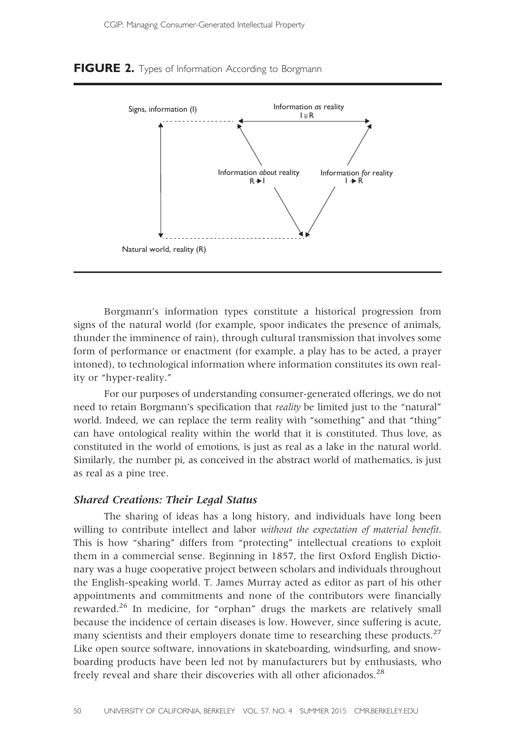

#### FIGURE 2. Types of Information According to Borgmann

Borgmann's information types constitute a historical progression from signs of the natural world (for example, spoor indicates the presence of animals, thunder the imminence of rain), through cultural transmission that involves some form of performance or enactment (for example, a play has to be acted, a prayer intoned), to technological information where information constitutes its own reality or "hyper-reality."

For our purposes of understanding consumer-generated offerings, we do not need to retain Borgmann's specification that *reality* be limited just to the "natural" world. Indeed, we can replace the term reality with "something" and that "thing" can have ontological reality within the world that it is constituted. Thus love, as constituted in the world of emotions, is just as real as a lake in the natural world. Similarly, the number pi, as conceived in the abstract world of mathematics, is just as real as a pine tree.

#### Shared Creations: Their Legal Status

The sharing of ideas has a long history, and individuals have long been willing to contribute intellect and labor without the expectation of material benefit. This is how "sharing" differs from "protecting" intellectual creations to exploit them in a commercial sense. Beginning in 1857, the first Oxford English Dictionary was a huge cooperative project between scholars and individuals throughout the English-speaking world. T. James Murray acted as editor as part of his other appointments and commitments and none of the contributors were financially rewarded.<sup>26</sup> In medicine, for "orphan" drugs the markets are relatively small because the incidence of certain diseases is low. However, since suffering is acute, many scientists and their employers donate time to researching these products.<sup>27</sup> Like open source software, innovations in skateboarding, windsurfing, and snowboarding products have been led not by manufacturers but by enthusiasts, who freely reveal and share their discoveries with all other aficionados.<sup>28</sup>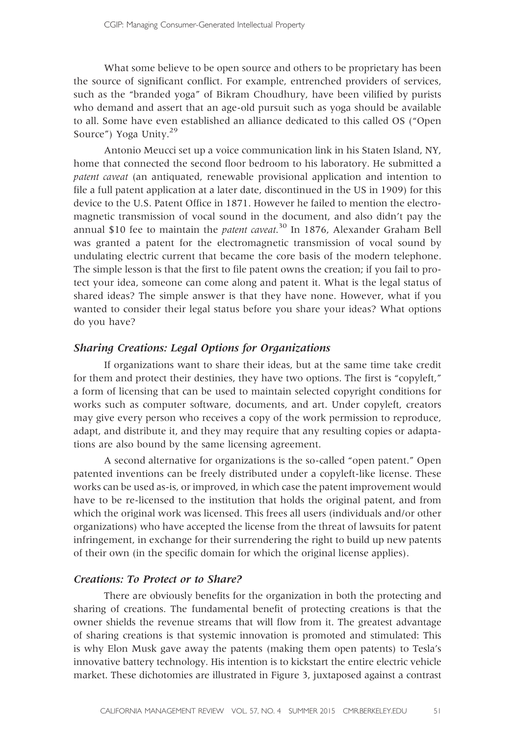What some believe to be open source and others to be proprietary has been the source of significant conflict. For example, entrenched providers of services, such as the "branded yoga" of Bikram Choudhury, have been vilified by purists who demand and assert that an age-old pursuit such as yoga should be available to all. Some have even established an alliance dedicated to this called OS ("Open Source") Yoga Unity.<sup>29</sup>

Antonio Meucci set up a voice communication link in his Staten Island, NY, home that connected the second floor bedroom to his laboratory. He submitted a patent caveat (an antiquated, renewable provisional application and intention to file a full patent application at a later date, discontinued in the US in 1909) for this device to the U.S. Patent Office in 1871. However he failed to mention the electromagnetic transmission of vocal sound in the document, and also didn't pay the annual \$10 fee to maintain the *patent caveat.*<sup>30</sup> In 1876, Alexander Graham Bell was granted a patent for the electromagnetic transmission of vocal sound by undulating electric current that became the core basis of the modern telephone. The simple lesson is that the first to file patent owns the creation; if you fail to protect your idea, someone can come along and patent it. What is the legal status of shared ideas? The simple answer is that they have none. However, what if you wanted to consider their legal status before you share your ideas? What options do you have?

## Sharing Creations: Legal Options for Organizations

If organizations want to share their ideas, but at the same time take credit for them and protect their destinies, they have two options. The first is "copyleft," a form of licensing that can be used to maintain selected copyright conditions for works such as computer software, documents, and art. Under copyleft, creators may give every person who receives a copy of the work permission to reproduce, adapt, and distribute it, and they may require that any resulting copies or adaptations are also bound by the same licensing agreement.

A second alternative for organizations is the so-called "open patent." Open patented inventions can be freely distributed under a copyleft-like license. These works can be used as-is, or improved, in which case the patent improvement would have to be re-licensed to the institution that holds the original patent, and from which the original work was licensed. This frees all users (individuals and/or other organizations) who have accepted the license from the threat of lawsuits for patent infringement, in exchange for their surrendering the right to build up new patents of their own (in the specific domain for which the original license applies).

## Creations: To Protect or to Share?

There are obviously benefits for the organization in both the protecting and sharing of creations. The fundamental benefit of protecting creations is that the owner shields the revenue streams that will flow from it. The greatest advantage of sharing creations is that systemic innovation is promoted and stimulated: This is why Elon Musk gave away the patents (making them open patents) to Tesla's innovative battery technology. His intention is to kickstart the entire electric vehicle market. These dichotomies are illustrated in Figure 3, juxtaposed against a contrast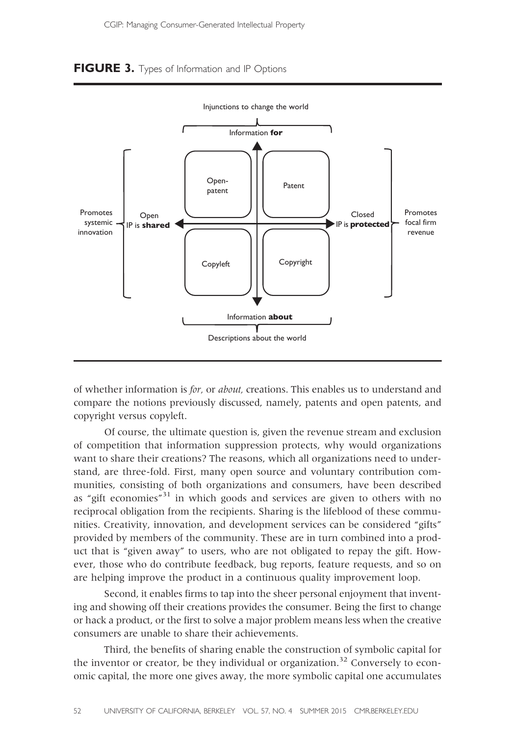

## FIGURE 3. Types of Information and IP Options

of whether information is *for,* or *about,* creations. This enables us to understand and compare the notions previously discussed, namely, patents and open patents, and copyright versus copyleft.

Of course, the ultimate question is, given the revenue stream and exclusion of competition that information suppression protects, why would organizations want to share their creations? The reasons, which all organizations need to understand, are three-fold. First, many open source and voluntary contribution communities, consisting of both organizations and consumers, have been described as "gift economies"<sup>31</sup> in which goods and services are given to others with no reciprocal obligation from the recipients. Sharing is the lifeblood of these communities. Creativity, innovation, and development services can be considered "gifts" provided by members of the community. These are in turn combined into a product that is "given away" to users, who are not obligated to repay the gift. However, those who do contribute feedback, bug reports, feature requests, and so on are helping improve the product in a continuous quality improvement loop.

Second, it enables firms to tap into the sheer personal enjoyment that inventing and showing off their creations provides the consumer. Being the first to change or hack a product, or the first to solve a major problem means less when the creative consumers are unable to share their achievements.

Third, the benefits of sharing enable the construction of symbolic capital for the inventor or creator, be they individual or organization.<sup>32</sup> Conversely to economic capital, the more one gives away, the more symbolic capital one accumulates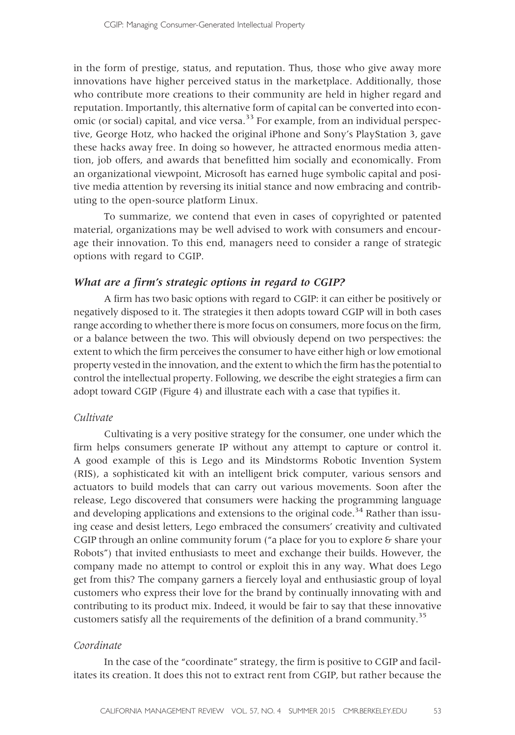in the form of prestige, status, and reputation. Thus, those who give away more innovations have higher perceived status in the marketplace. Additionally, those who contribute more creations to their community are held in higher regard and reputation. Importantly, this alternative form of capital can be converted into economic (or social) capital, and vice versa.<sup>33</sup> For example, from an individual perspective, George Hotz, who hacked the original iPhone and Sony's PlayStation 3, gave these hacks away free. In doing so however, he attracted enormous media attention, job offers, and awards that benefitted him socially and economically. From an organizational viewpoint, Microsoft has earned huge symbolic capital and positive media attention by reversing its initial stance and now embracing and contributing to the open-source platform Linux.

To summarize, we contend that even in cases of copyrighted or patented material, organizations may be well advised to work with consumers and encourage their innovation. To this end, managers need to consider a range of strategic options with regard to CGIP.

## What are a firm's strategic options in regard to CGIP?

A firm has two basic options with regard to CGIP: it can either be positively or negatively disposed to it. The strategies it then adopts toward CGIP will in both cases range according to whether there is more focus on consumers, more focus on the firm, or a balance between the two. This will obviously depend on two perspectives: the extent to which the firm perceives the consumer to have either high or low emotional property vested in the innovation, and the extent to which the firm has the potential to control the intellectual property. Following, we describe the eight strategies a firm can adopt toward CGIP (Figure 4) and illustrate each with a case that typifies it.

## Cultivate

Cultivating is a very positive strategy for the consumer, one under which the firm helps consumers generate IP without any attempt to capture or control it. A good example of this is Lego and its Mindstorms Robotic Invention System (RIS), a sophisticated kit with an intelligent brick computer, various sensors and actuators to build models that can carry out various movements. Soon after the release, Lego discovered that consumers were hacking the programming language and developing applications and extensions to the original code.<sup>34</sup> Rather than issuing cease and desist letters, Lego embraced the consumers' creativity and cultivated CGIP through an online community forum ("a place for you to explore & share your Robots") that invited enthusiasts to meet and exchange their builds. However, the company made no attempt to control or exploit this in any way. What does Lego get from this? The company garners a fiercely loyal and enthusiastic group of loyal customers who express their love for the brand by continually innovating with and contributing to its product mix. Indeed, it would be fair to say that these innovative customers satisfy all the requirements of the definition of a brand community.<sup>35</sup>

## Coordinate

In the case of the "coordinate" strategy, the firm is positive to CGIP and facilitates its creation. It does this not to extract rent from CGIP, but rather because the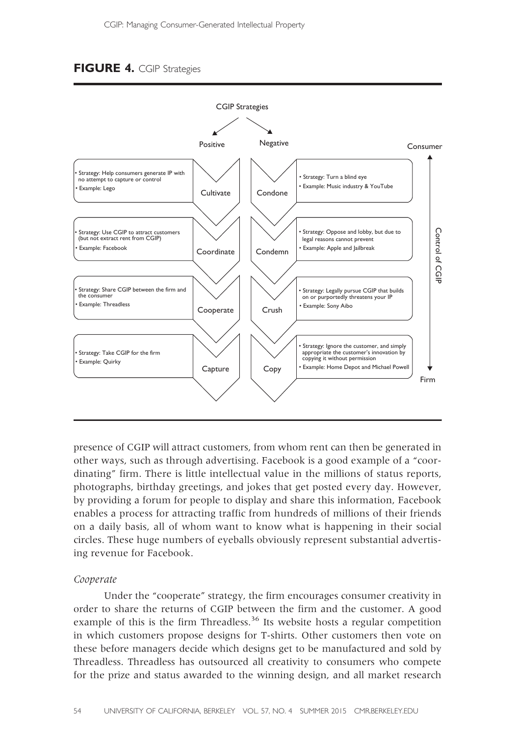## **FIGURE 4.** CGIP Strategies



presence of CGIP will attract customers, from whom rent can then be generated in other ways, such as through advertising. Facebook is a good example of a "coordinating" firm. There is little intellectual value in the millions of status reports, photographs, birthday greetings, and jokes that get posted every day. However, by providing a forum for people to display and share this information, Facebook enables a process for attracting traffic from hundreds of millions of their friends on a daily basis, all of whom want to know what is happening in their social circles. These huge numbers of eyeballs obviously represent substantial advertising revenue for Facebook.

#### Cooperate

Under the "cooperate" strategy, the firm encourages consumer creativity in order to share the returns of CGIP between the firm and the customer. A good example of this is the firm Threadless.<sup>36</sup> Its website hosts a regular competition in which customers propose designs for T-shirts. Other customers then vote on these before managers decide which designs get to be manufactured and sold by Threadless. Threadless has outsourced all creativity to consumers who compete for the prize and status awarded to the winning design, and all market research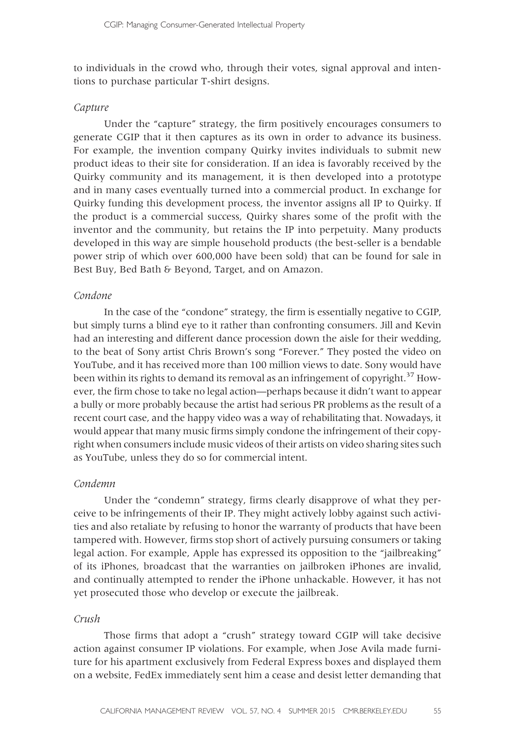to individuals in the crowd who, through their votes, signal approval and intentions to purchase particular T-shirt designs.

#### Capture

Under the "capture" strategy, the firm positively encourages consumers to generate CGIP that it then captures as its own in order to advance its business. For example, the invention company Quirky invites individuals to submit new product ideas to their site for consideration. If an idea is favorably received by the Quirky community and its management, it is then developed into a prototype and in many cases eventually turned into a commercial product. In exchange for Quirky funding this development process, the inventor assigns all IP to Quirky. If the product is a commercial success, Quirky shares some of the profit with the inventor and the community, but retains the IP into perpetuity. Many products developed in this way are simple household products (the best-seller is a bendable power strip of which over 600,000 have been sold) that can be found for sale in Best Buy, Bed Bath & Beyond, Target, and on Amazon.

## Condone

In the case of the "condone" strategy, the firm is essentially negative to CGIP, but simply turns a blind eye to it rather than confronting consumers. Jill and Kevin had an interesting and different dance procession down the aisle for their wedding, to the beat of Sony artist Chris Brown's song "Forever." They posted the video on YouTube, and it has received more than 100 million views to date. Sony would have been within its rights to demand its removal as an infringement of copyright.<sup>37</sup> However, the firm chose to take no legal action—perhaps because it didn't want to appear a bully or more probably because the artist had serious PR problems as the result of a recent court case, and the happy video was a way of rehabilitating that. Nowadays, it would appear that many music firms simply condone the infringement of their copyright when consumers include music videos of their artists on video sharing sites such as YouTube, unless they do so for commercial intent.

#### Condemn

Under the "condemn" strategy, firms clearly disapprove of what they perceive to be infringements of their IP. They might actively lobby against such activities and also retaliate by refusing to honor the warranty of products that have been tampered with. However, firms stop short of actively pursuing consumers or taking legal action. For example, Apple has expressed its opposition to the "jailbreaking" of its iPhones, broadcast that the warranties on jailbroken iPhones are invalid, and continually attempted to render the iPhone unhackable. However, it has not yet prosecuted those who develop or execute the jailbreak.

### Crush

Those firms that adopt a "crush" strategy toward CGIP will take decisive action against consumer IP violations. For example, when Jose Avila made furniture for his apartment exclusively from Federal Express boxes and displayed them on a website, FedEx immediately sent him a cease and desist letter demanding that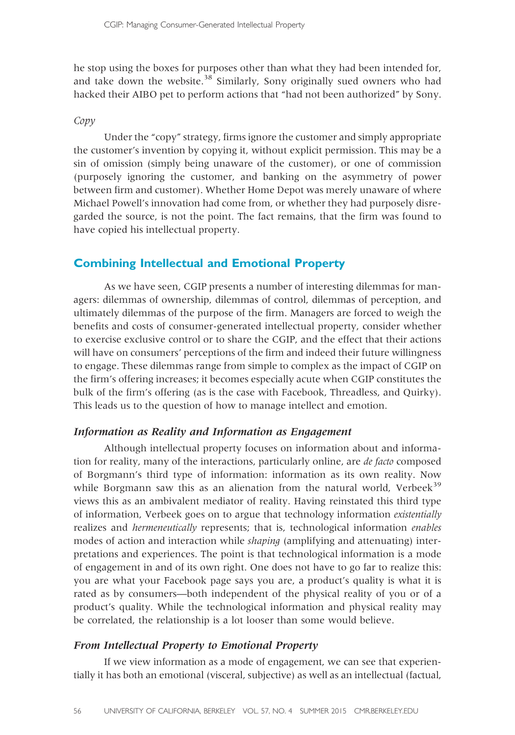he stop using the boxes for purposes other than what they had been intended for, and take down the website.<sup>38</sup> Similarly, Sony originally sued owners who had hacked their AIBO pet to perform actions that "had not been authorized" by Sony.

## Copy

Under the "copy" strategy, firms ignore the customer and simply appropriate the customer's invention by copying it, without explicit permission. This may be a sin of omission (simply being unaware of the customer), or one of commission (purposely ignoring the customer, and banking on the asymmetry of power between firm and customer). Whether Home Depot was merely unaware of where Michael Powell's innovation had come from, or whether they had purposely disregarded the source, is not the point. The fact remains, that the firm was found to have copied his intellectual property.

## Combining Intellectual and Emotional Property

As we have seen, CGIP presents a number of interesting dilemmas for managers: dilemmas of ownership, dilemmas of control, dilemmas of perception, and ultimately dilemmas of the purpose of the firm. Managers are forced to weigh the benefits and costs of consumer-generated intellectual property, consider whether to exercise exclusive control or to share the CGIP, and the effect that their actions will have on consumers' perceptions of the firm and indeed their future willingness to engage. These dilemmas range from simple to complex as the impact of CGIP on the firm's offering increases; it becomes especially acute when CGIP constitutes the bulk of the firm's offering (as is the case with Facebook, Threadless, and Quirky). This leads us to the question of how to manage intellect and emotion.

#### Information as Reality and Information as Engagement

Although intellectual property focuses on information about and information for reality, many of the interactions, particularly online, are *de facto* composed of Borgmann's third type of information: information as its own reality. Now while Borgmann saw this as an alienation from the natural world, Verbeek $39$ views this as an ambivalent mediator of reality. Having reinstated this third type of information, Verbeek goes on to argue that technology information existentially realizes and *hermeneutically* represents; that is, technological information *enables* modes of action and interaction while *shaping* (amplifying and attenuating) interpretations and experiences. The point is that technological information is a mode of engagement in and of its own right. One does not have to go far to realize this: you are what your Facebook page says you are, a product's quality is what it is rated as by consumers—both independent of the physical reality of you or of a product's quality. While the technological information and physical reality may be correlated, the relationship is a lot looser than some would believe.

## From Intellectual Property to Emotional Property

If we view information as a mode of engagement, we can see that experientially it has both an emotional (visceral, subjective) as well as an intellectual (factual,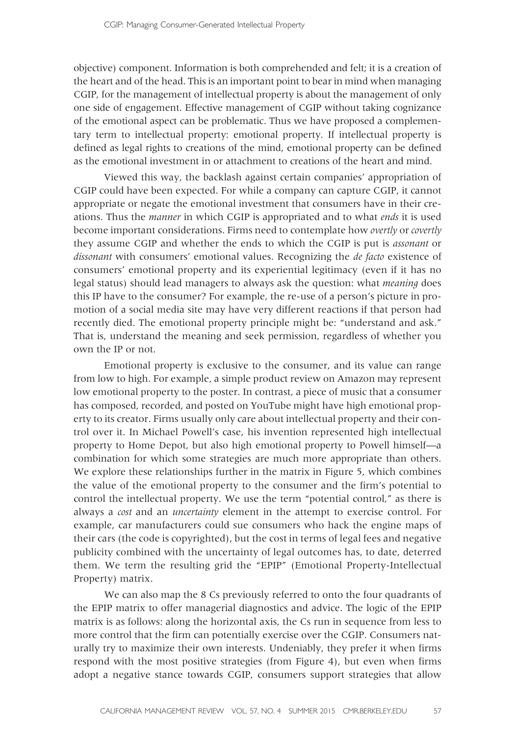objective) component. Information is both comprehended and felt; it is a creation of the heart and of the head. This is an important point to bear in mind when managing CGIP, for the management of intellectual property is about the management of only one side of engagement. Effective management of CGIP without taking cognizance of the emotional aspect can be problematic. Thus we have proposed a complementary term to intellectual property: emotional property. If intellectual property is defined as legal rights to creations of the mind, emotional property can be defined as the emotional investment in or attachment to creations of the heart and mind.

Viewed this way, the backlash against certain companies' appropriation of CGIP could have been expected. For while a company can capture CGIP, it cannot appropriate or negate the emotional investment that consumers have in their creations. Thus the manner in which CGIP is appropriated and to what ends it is used become important considerations. Firms need to contemplate how *overtly* or *covertly* they assume CGIP and whether the ends to which the CGIP is put is assonant or dissonant with consumers' emotional values. Recognizing the de facto existence of consumers' emotional property and its experiential legitimacy (even if it has no legal status) should lead managers to always ask the question: what *meaning* does this IP have to the consumer? For example, the re-use of a person's picture in promotion of a social media site may have very different reactions if that person had recently died. The emotional property principle might be: "understand and ask." That is, understand the meaning and seek permission, regardless of whether you own the IP or not.

Emotional property is exclusive to the consumer, and its value can range from low to high. For example, a simple product review on Amazon may represent low emotional property to the poster. In contrast, a piece of music that a consumer has composed, recorded, and posted on YouTube might have high emotional property to its creator. Firms usually only care about intellectual property and their control over it. In Michael Powell's case, his invention represented high intellectual property to Home Depot, but also high emotional property to Powell himself—a combination for which some strategies are much more appropriate than others. We explore these relationships further in the matrix in Figure 5, which combines the value of the emotional property to the consumer and the firm's potential to control the intellectual property. We use the term "potential control," as there is always a *cost* and an *uncertainty* element in the attempt to exercise control. For example, car manufacturers could sue consumers who hack the engine maps of their cars (the code is copyrighted), but the cost in terms of legal fees and negative publicity combined with the uncertainty of legal outcomes has, to date, deterred them. We term the resulting grid the "EPIP" (Emotional Property-Intellectual Property) matrix.

We can also map the 8 Cs previously referred to onto the four quadrants of the EPIP matrix to offer managerial diagnostics and advice. The logic of the EPIP matrix is as follows: along the horizontal axis, the Cs run in sequence from less to more control that the firm can potentially exercise over the CGIP. Consumers naturally try to maximize their own interests. Undeniably, they prefer it when firms respond with the most positive strategies (from Figure 4), but even when firms adopt a negative stance towards CGIP, consumers support strategies that allow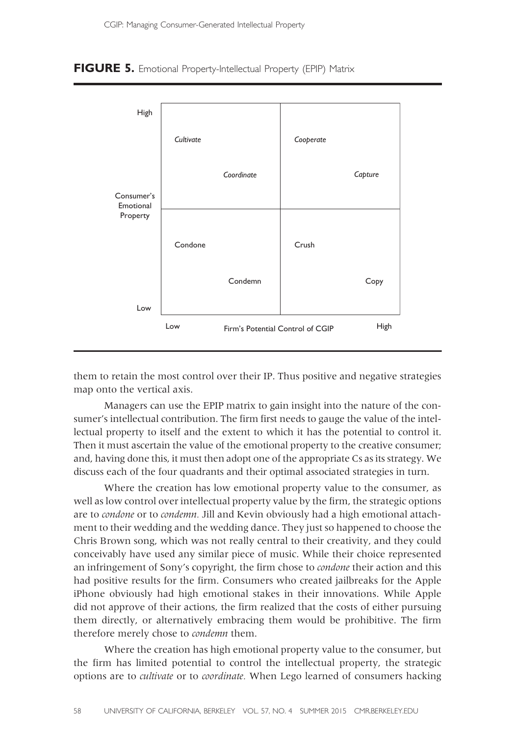



them to retain the most control over their IP. Thus positive and negative strategies map onto the vertical axis.

Managers can use the EPIP matrix to gain insight into the nature of the consumer's intellectual contribution. The firm first needs to gauge the value of the intellectual property to itself and the extent to which it has the potential to control it. Then it must ascertain the value of the emotional property to the creative consumer; and, having done this, it must then adopt one of the appropriate Cs as its strategy. We discuss each of the four quadrants and their optimal associated strategies in turn.

Where the creation has low emotional property value to the consumer, as well as low control over intellectual property value by the firm, the strategic options are to *condone* or to *condemn*. Jill and Kevin obviously had a high emotional attachment to their wedding and the wedding dance. They just so happened to choose the Chris Brown song, which was not really central to their creativity, and they could conceivably have used any similar piece of music. While their choice represented an infringement of Sony's copyright, the firm chose to *condone* their action and this had positive results for the firm. Consumers who created jailbreaks for the Apple iPhone obviously had high emotional stakes in their innovations. While Apple did not approve of their actions, the firm realized that the costs of either pursuing them directly, or alternatively embracing them would be prohibitive. The firm therefore merely chose to *condemn* them.

Where the creation has high emotional property value to the consumer, but the firm has limited potential to control the intellectual property, the strategic options are to cultivate or to coordinate. When Lego learned of consumers hacking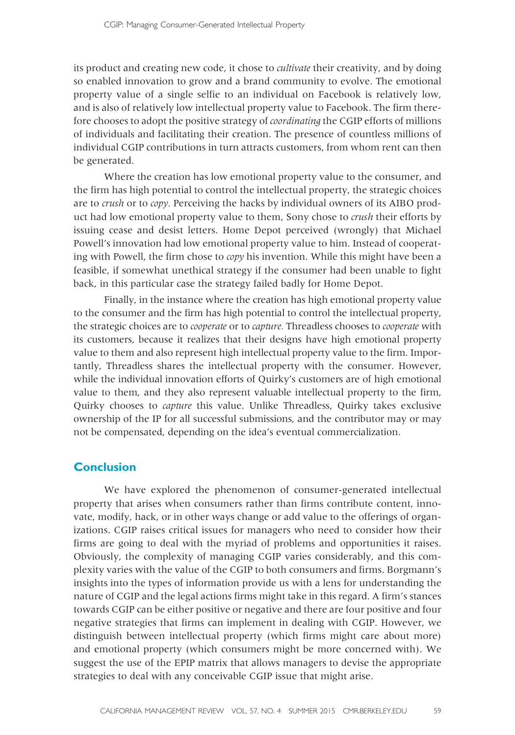its product and creating new code, it chose to *cultivate* their creativity, and by doing so enabled innovation to grow and a brand community to evolve. The emotional property value of a single selfie to an individual on Facebook is relatively low, and is also of relatively low intellectual property value to Facebook. The firm therefore chooses to adopt the positive strategy of *coordinating* the CGIP efforts of millions of individuals and facilitating their creation. The presence of countless millions of individual CGIP contributions in turn attracts customers, from whom rent can then be generated.

Where the creation has low emotional property value to the consumer, and the firm has high potential to control the intellectual property, the strategic choices are to *crush* or to *copy*. Perceiving the hacks by individual owners of its AIBO product had low emotional property value to them, Sony chose to *crush* their efforts by issuing cease and desist letters. Home Depot perceived (wrongly) that Michael Powell's innovation had low emotional property value to him. Instead of cooperating with Powell, the firm chose to *copy* his invention. While this might have been a feasible, if somewhat unethical strategy if the consumer had been unable to fight back, in this particular case the strategy failed badly for Home Depot.

Finally, in the instance where the creation has high emotional property value to the consumer and the firm has high potential to control the intellectual property, the strategic choices are to *cooperate* or to *capture*. Threadless chooses to *cooperate* with its customers, because it realizes that their designs have high emotional property value to them and also represent high intellectual property value to the firm. Importantly, Threadless shares the intellectual property with the consumer. However, while the individual innovation efforts of Quirky's customers are of high emotional value to them, and they also represent valuable intellectual property to the firm, Quirky chooses to *capture* this value. Unlike Threadless, Quirky takes exclusive ownership of the IP for all successful submissions, and the contributor may or may not be compensated, depending on the idea's eventual commercialization.

## **Conclusion**

We have explored the phenomenon of consumer-generated intellectual property that arises when consumers rather than firms contribute content, innovate, modify, hack, or in other ways change or add value to the offerings of organizations. CGIP raises critical issues for managers who need to consider how their firms are going to deal with the myriad of problems and opportunities it raises. Obviously, the complexity of managing CGIP varies considerably, and this complexity varies with the value of the CGIP to both consumers and firms. Borgmann's insights into the types of information provide us with a lens for understanding the nature of CGIP and the legal actions firms might take in this regard. A firm's stances towards CGIP can be either positive or negative and there are four positive and four negative strategies that firms can implement in dealing with CGIP. However, we distinguish between intellectual property (which firms might care about more) and emotional property (which consumers might be more concerned with). We suggest the use of the EPIP matrix that allows managers to devise the appropriate strategies to deal with any conceivable CGIP issue that might arise.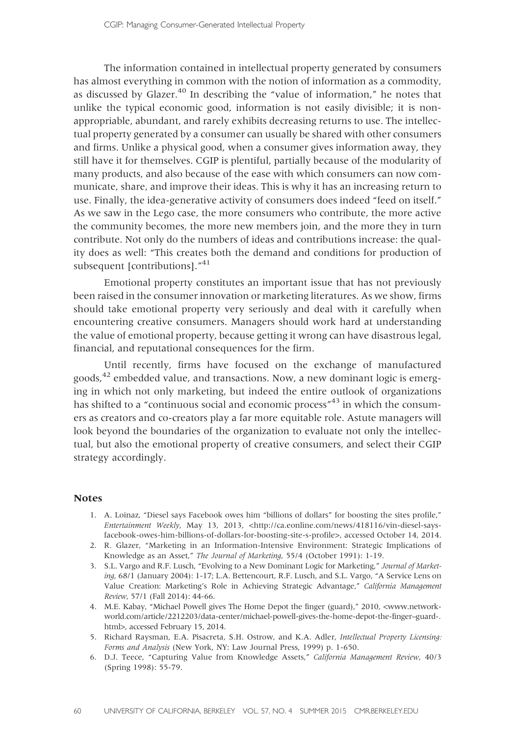The information contained in intellectual property generated by consumers has almost everything in common with the notion of information as a commodity, as discussed by Glazer.<sup>40</sup> In describing the "value of information," he notes that unlike the typical economic good, information is not easily divisible; it is nonappropriable, abundant, and rarely exhibits decreasing returns to use. The intellectual property generated by a consumer can usually be shared with other consumers and firms. Unlike a physical good, when a consumer gives information away, they still have it for themselves. CGIP is plentiful, partially because of the modularity of many products, and also because of the ease with which consumers can now communicate, share, and improve their ideas. This is why it has an increasing return to use. Finally, the idea-generative activity of consumers does indeed "feed on itself." As we saw in the Lego case, the more consumers who contribute, the more active the community becomes, the more new members join, and the more they in turn contribute. Not only do the numbers of ideas and contributions increase: the quality does as well: "This creates both the demand and conditions for production of subsequent [contributions]."<sup>41</sup>

Emotional property constitutes an important issue that has not previously been raised in the consumer innovation or marketing literatures. As we show, firms should take emotional property very seriously and deal with it carefully when encountering creative consumers. Managers should work hard at understanding the value of emotional property, because getting it wrong can have disastrous legal, financial, and reputational consequences for the firm.

Until recently, firms have focused on the exchange of manufactured goods, $42$  embedded value, and transactions. Now, a new dominant logic is emerging in which not only marketing, but indeed the entire outlook of organizations has shifted to a "continuous social and economic process"<sup>43</sup> in which the consumers as creators and co-creators play a far more equitable role. Astute managers will look beyond the boundaries of the organization to evaluate not only the intellectual, but also the emotional property of creative consumers, and select their CGIP strategy accordingly.

#### **Notes**

- 1. A. Loinaz, "Diesel says Facebook owes him "billions of dollars" for boosting the sites profile," Entertainment Weekly, May 13, 2013, <http://ca.eonline.com/news/418116/vin-diesel-saysfacebook-owes-him-billions-of-dollars-for-boosting-site-s-profile>, accessed October 14, 2014.
- 2. R. Glazer, "Marketing in an Information-Intensive Environment: Strategic Implications of Knowledge as an Asset," The Journal of Marketing, 55/4 (October 1991): 1-19.
- 3. S.L. Vargo and R.F. Lusch, "Evolving to a New Dominant Logic for Marketing," Journal of Marketing, 68/1 (January 2004): 1-17; L.A. Bettencourt, R.F. Lusch, and S.L. Vargo, "A Service Lens on Value Creation: Marketing's Role in Achieving Strategic Advantage," California Management Review, 57/1 (Fall 2014): 44-66.
- 4. M.E. Kabay, "Michael Powell gives The Home Depot the finger (guard)," 2010, <www.networkworld.com/article/2212203/data-center/michael-powell-gives-the-home-depot-the-finger–guard-. html>, accessed February 15, 2014.
- 5. Richard Raysman, E.A. Pisacreta, S.H. Ostrow, and K.A. Adler, Intellectual Property Licensing: Forms and Analysis (New York, NY: Law Journal Press, 1999) p. 1-650.
- 6. D.J. Teece, "Capturing Value from Knowledge Assets," California Management Review, 40/3 (Spring 1998): 55-79.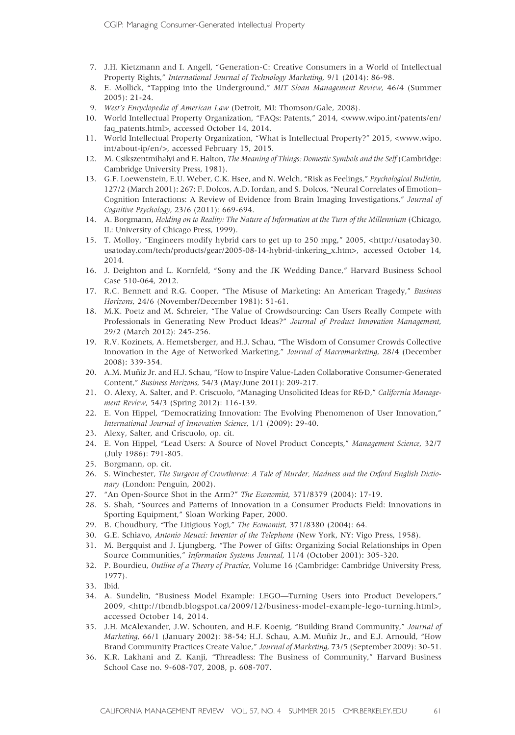- 7. J.H. Kietzmann and I. Angell, "Generation-C: Creative Consumers in a World of Intellectual Property Rights," International Journal of Technology Marketing, 9/1 (2014): 86-98.
- 8. E. Mollick, "Tapping into the Underground," MIT Sloan Management Review, 46/4 (Summer 2005): 21-24.
- 9. West's Encyclopedia of American Law (Detroit, MI: Thomson/Gale, 2008).
- 10. World Intellectual Property Organization, "FAQs: Patents," 2014, <www.wipo.int/patents/en/ faq\_patents.html>, accessed October 14, 2014.
- 11. World Intellectual Property Organization, "What is Intellectual Property?" 2015, <www.wipo. int/about-ip/en/>, accessed February 15, 2015.
- 12. M. Csikszentmihalyi and E. Halton, The Meaning of Things: Domestic Symbols and the Self (Cambridge: Cambridge University Press, 1981).
- 13. G.F. Loewenstein, E.U. Weber, C.K. Hsee, and N. Welch, "Risk as Feelings," Psychological Bulletin, 127/2 (March 2001): 267; F. Dolcos, A.D. Iordan, and S. Dolcos, "Neural Correlates of Emotion– Cognition Interactions: A Review of Evidence from Brain Imaging Investigations," Journal of Cognitive Psychology, 23/6 (2011): 669-694.
- 14. A. Borgmann, Holding on to Reality: The Nature of Information at the Turn of the Millennium (Chicago, IL: University of Chicago Press, 1999).
- 15. T. Molloy, "Engineers modify hybrid cars to get up to 250 mpg," 2005, <http://usatoday30. usatoday.com/tech/products/gear/2005-08-14-hybrid-tinkering\_x.htm>, accessed October 14, 2014.
- 16. J. Deighton and L. Kornfeld, "Sony and the JK Wedding Dance," Harvard Business School Case 510-064, 2012.
- 17. R.C. Bennett and R.G. Cooper, "The Misuse of Marketing: An American Tragedy," Business Horizons, 24/6 (November/December 1981): 51-61.
- 18. M.K. Poetz and M. Schreier, "The Value of Crowdsourcing: Can Users Really Compete with Professionals in Generating New Product Ideas?" Journal of Product Innovation Management, 29/2 (March 2012): 245-256.
- 19. R.V. Kozinets, A. Hemetsberger, and H.J. Schau, "The Wisdom of Consumer Crowds Collective Innovation in the Age of Networked Marketing," Journal of Macromarketing, 28/4 (December 2008): 339-354.
- 20. A.M. Muñiz Jr. and H.J. Schau, "How to Inspire Value-Laden Collaborative Consumer-Generated Content," Business Horizons, 54/3 (May/June 2011): 209-217.
- 21. O. Alexy, A. Salter, and P. Criscuolo, "Managing Unsolicited Ideas for R&D," California Management Review, 54/3 (Spring 2012): 116-139.
- 22. E. Von Hippel, "Democratizing Innovation: The Evolving Phenomenon of User Innovation," International Journal of Innovation Science, 1/1 (2009): 29-40.
- 23. Alexy, Salter, and Criscuolo, op. cit.
- 24. E. Von Hippel, "Lead Users: A Source of Novel Product Concepts," Management Science, 32/7 (July 1986): 791-805.
- 25. Borgmann, op. cit.
- 26. S. Winchester, The Surgeon of Crowthorne: A Tale of Murder, Madness and the Oxford English Dictionary (London: Penguin, 2002).
- 27. "An Open-Source Shot in the Arm?" The Economist, 371/8379 (2004): 17-19.
- 28. S. Shah, "Sources and Patterns of Innovation in a Consumer Products Field: Innovations in Sporting Equipment," Sloan Working Paper, 2000.
- 29. B. Choudhury, "The Litigious Yogi," The Economist, 371/8380 (2004): 64.
- 30. G.E. Schiavo, Antonio Meucci: Inventor of the Telephone (New York, NY: Vigo Press, 1958).
- 31. M. Bergquist and J. Ljungberg, "The Power of Gifts: Organizing Social Relationships in Open Source Communities," Information Systems Journal, 11/4 (October 2001): 305-320.
- 32. P. Bourdieu, Outline of a Theory of Practice, Volume 16 (Cambridge: Cambridge University Press, 1977).
- 33. Ibid.
- 34. A. Sundelin, "Business Model Example: LEGO—Turning Users into Product Developers," 2009, <http://tbmdb.blogspot.ca/2009/12/business-model-example-lego-turning.html>, accessed October 14, 2014.
- 35. J.H. McAlexander, J.W. Schouten, and H.F. Koenig, "Building Brand Community," Journal of Marketing, 66/1 (January 2002): 38-54; H.J. Schau, A.M. Muñiz Jr., and E.J. Arnould, "How Brand Community Practices Create Value," Journal of Marketing, 73/5 (September 2009): 30-51.
- 36. K.R. Lakhani and Z. Kanji, "Threadless: The Business of Community," Harvard Business School Case no. 9-608-707, 2008, p. 608-707.